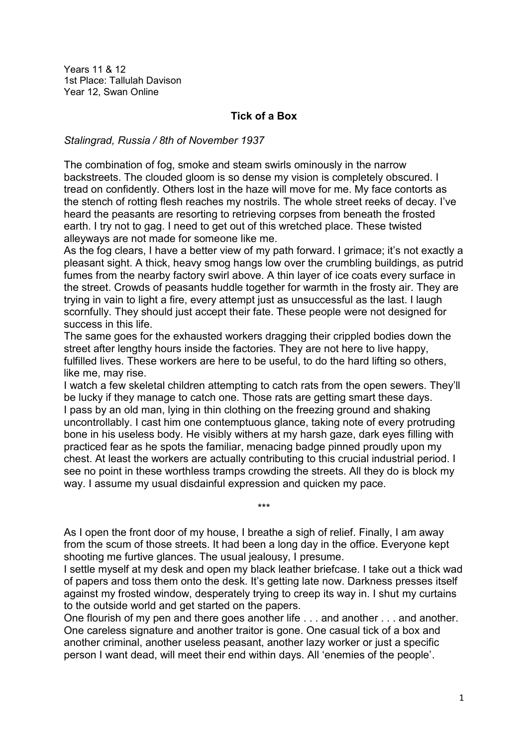Years 11 & 12 1st Place: Tallulah Davison Year 12, Swan Online

## **Tick of a Box**

*Stalingrad, Russia / 8th of November 1937*

The combination of fog, smoke and steam swirls ominously in the narrow backstreets. The clouded gloom is so dense my vision is completely obscured. I tread on confidently. Others lost in the haze will move for me. My face contorts as the stench of rotting flesh reaches my nostrils. The whole street reeks of decay. I've heard the peasants are resorting to retrieving corpses from beneath the frosted earth. I try not to gag. I need to get out of this wretched place. These twisted alleyways are not made for someone like me.

As the fog clears. I have a better view of my path forward. I grimace: it's not exactly a pleasant sight. A thick, heavy smog hangs low over the crumbling buildings, as putrid fumes from the nearby factory swirl above. A thin layer of ice coats every surface in the street. Crowds of peasants huddle together for warmth in the frosty air. They are trying in vain to light a fire, every attempt just as unsuccessful as the last. I laugh scornfully. They should just accept their fate. These people were not designed for success in this life.

The same goes for the exhausted workers dragging their crippled bodies down the street after lengthy hours inside the factories. They are not here to live happy, fulfilled lives. These workers are here to be useful, to do the hard lifting so others, like me, may rise.

I watch a few skeletal children attempting to catch rats from the open sewers. They'll be lucky if they manage to catch one. Those rats are getting smart these days. I pass by an old man, lying in thin clothing on the freezing ground and shaking uncontrollably. I cast him one contemptuous glance, taking note of every protruding bone in his useless body. He visibly withers at my harsh gaze, dark eyes filling with practiced fear as he spots the familiar, menacing badge pinned proudly upon my chest. At least the workers are actually contributing to this crucial industrial period. I see no point in these worthless tramps crowding the streets. All they do is block my way. I assume my usual disdainful expression and quicken my pace.

As I open the front door of my house, I breathe a sigh of relief. Finally, I am away from the scum of those streets. It had been a long day in the office. Everyone kept shooting me furtive glances. The usual jealousy, I presume.

\*\*\*

I settle myself at my desk and open my black leather briefcase. I take out a thick wad of papers and toss them onto the desk. It's getting late now. Darkness presses itself against my frosted window, desperately trying to creep its way in. I shut my curtains to the outside world and get started on the papers.

One flourish of my pen and there goes another life . . . and another . . . and another. One careless signature and another traitor is gone. One casual tick of a box and another criminal, another useless peasant, another lazy worker or just a specific person I want dead, will meet their end within days. All 'enemies of the people'.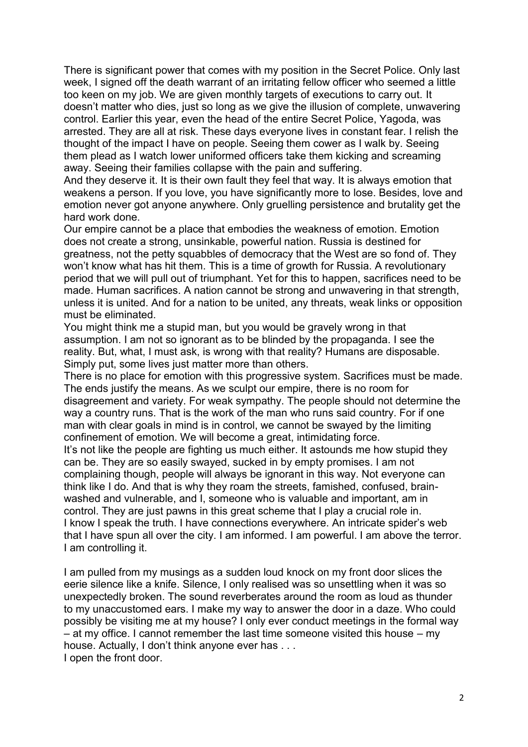There is significant power that comes with my position in the Secret Police. Only last week, I signed off the death warrant of an irritating fellow officer who seemed a little too keen on my job. We are given monthly targets of executions to carry out. It doesn't matter who dies, just so long as we give the illusion of complete, unwavering control. Earlier this year, even the head of the entire Secret Police, Yagoda, was arrested. They are all at risk. These days everyone lives in constant fear. I relish the thought of the impact I have on people. Seeing them cower as I walk by. Seeing them plead as I watch lower uniformed officers take them kicking and screaming away. Seeing their families collapse with the pain and suffering.

And they deserve it. It is their own fault they feel that way. It is always emotion that weakens a person. If you love, you have significantly more to lose. Besides, love and emotion never got anyone anywhere. Only gruelling persistence and brutality get the hard work done.

Our empire cannot be a place that embodies the weakness of emotion. Emotion does not create a strong, unsinkable, powerful nation. Russia is destined for greatness, not the petty squabbles of democracy that the West are so fond of. They won't know what has hit them. This is a time of growth for Russia. A revolutionary period that we will pull out of triumphant. Yet for this to happen, sacrifices need to be made. Human sacrifices. A nation cannot be strong and unwavering in that strength, unless it is united. And for a nation to be united, any threats, weak links or opposition must be eliminated.

You might think me a stupid man, but you would be gravely wrong in that assumption. I am not so ignorant as to be blinded by the propaganda. I see the reality. But, what, I must ask, is wrong with that reality? Humans are disposable. Simply put, some lives just matter more than others.

There is no place for emotion with this progressive system. Sacrifices must be made. The ends justify the means. As we sculpt our empire, there is no room for disagreement and variety. For weak sympathy. The people should not determine the way a country runs. That is the work of the man who runs said country. For if one man with clear goals in mind is in control, we cannot be swayed by the limiting confinement of emotion. We will become a great, intimidating force.

It's not like the people are fighting us much either. It astounds me how stupid they can be. They are so easily swayed, sucked in by empty promises. I am not complaining though, people will always be ignorant in this way. Not everyone can think like I do. And that is why they roam the streets, famished, confused, brainwashed and vulnerable, and I, someone who is valuable and important, am in control. They are just pawns in this great scheme that I play a crucial role in. I know I speak the truth. I have connections everywhere. An intricate spider's web that I have spun all over the city. I am informed. I am powerful. I am above the terror. I am controlling it.

I am pulled from my musings as a sudden loud knock on my front door slices the eerie silence like a knife. Silence, I only realised was so unsettling when it was so unexpectedly broken. The sound reverberates around the room as loud as thunder to my unaccustomed ears. I make my way to answer the door in a daze. Who could possibly be visiting me at my house? I only ever conduct meetings in the formal way – at my office. I cannot remember the last time someone visited this house – my house. Actually, I don't think anyone ever has . . .

I open the front door.